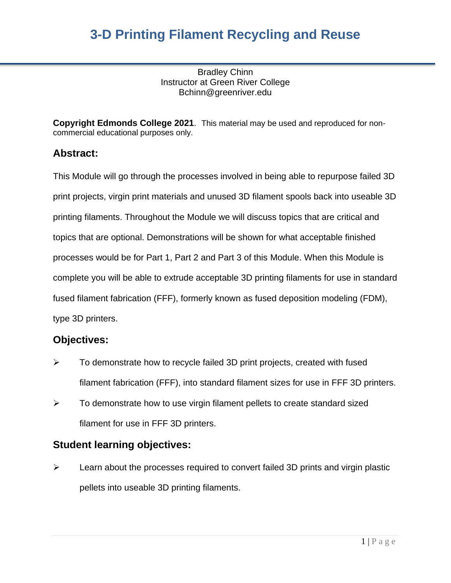Bradley Chinn Instructor at Green River College Bchinn@greenriver.edu

**Copyright Edmonds College 2021**. This material may be used and reproduced for noncommercial educational purposes only.

### **Abstract:**

This Module will go through the processes involved in being able to repurpose failed 3D print projects, virgin print materials and unused 3D filament spools back into useable 3D printing filaments. Throughout the Module we will discuss topics that are critical and topics that are optional. Demonstrations will be shown for what acceptable finished processes would be for Part 1, Part 2 and Part 3 of this Module. When this Module is complete you will be able to extrude acceptable 3D printing filaments for use in standard fused filament fabrication (FFF), formerly known as fused deposition modeling (FDM), type 3D printers.

### **Objectives:**

- $\triangleright$  To demonstrate how to recycle failed 3D print projects, created with fused filament fabrication (FFF), into standard filament sizes for use in FFF 3D printers.
- $\triangleright$  To demonstrate how to use virgin filament pellets to create standard sized filament for use in FFF 3D printers.

### **Student learning objectives:**

 $\triangleright$  Learn about the processes required to convert failed 3D prints and virgin plastic pellets into useable 3D printing filaments.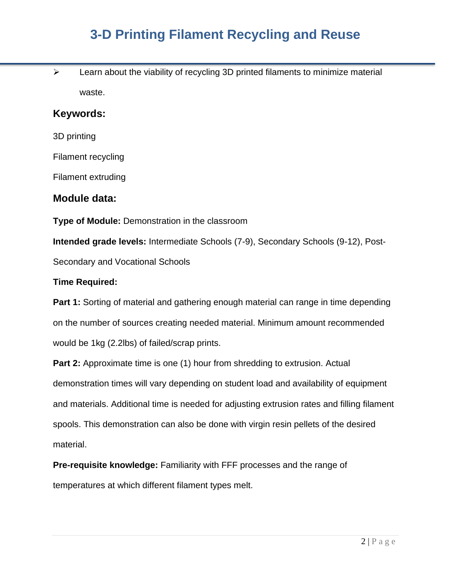$\triangleright$  Learn about the viability of recycling 3D printed filaments to minimize material waste.

#### **Keywords:**

3D printing

Filament recycling

Filament extruding

#### **Module data:**

**Type of Module:** Demonstration in the classroom

**Intended grade levels:** Intermediate Schools (7-9), Secondary Schools (9-12), Post-Secondary and Vocational Schools

#### **Time Required:**

**Part 1:** Sorting of material and gathering enough material can range in time depending on the number of sources creating needed material. Minimum amount recommended would be 1kg (2.2lbs) of failed/scrap prints.

**Part 2:** Approximate time is one (1) hour from shredding to extrusion. Actual demonstration times will vary depending on student load and availability of equipment and materials. Additional time is needed for adjusting extrusion rates and filling filament spools. This demonstration can also be done with virgin resin pellets of the desired material.

**Pre-requisite knowledge:** Familiarity with FFF processes and the range of temperatures at which different filament types melt.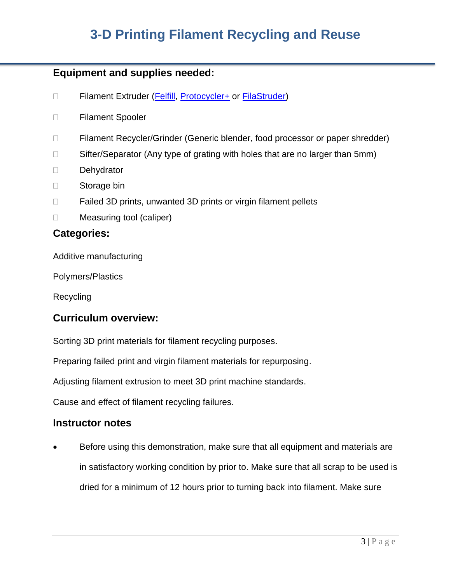### **Equipment and supplies needed:**

- □ Filament Extruder [\(Felfill, Protocycler+](about:blank) or [FilaStruder\)](about:blank)
- Filament Spooler
- □ Filament Recycler/Grinder (Generic blender, food processor or paper shredder)
- $\Box$  Sifter/Separator (Any type of grating with holes that are no larger than 5mm)
- Dehydrator
- □ Storage bin
- $\Box$  Failed 3D prints, unwanted 3D prints or virgin filament pellets
- □ Measuring tool (caliper)

### **Categories:**

Additive manufacturing

Polymers/Plastics

Recycling

### **Curriculum overview:**

Sorting 3D print materials for filament recycling purposes.

Preparing failed print and virgin filament materials for repurposing.

Adjusting filament extrusion to meet 3D print machine standards.

Cause and effect of filament recycling failures.

#### **Instructor notes**

• Before using this demonstration, make sure that all equipment and materials are in satisfactory working condition by prior to. Make sure that all scrap to be used is dried for a minimum of 12 hours prior to turning back into filament. Make sure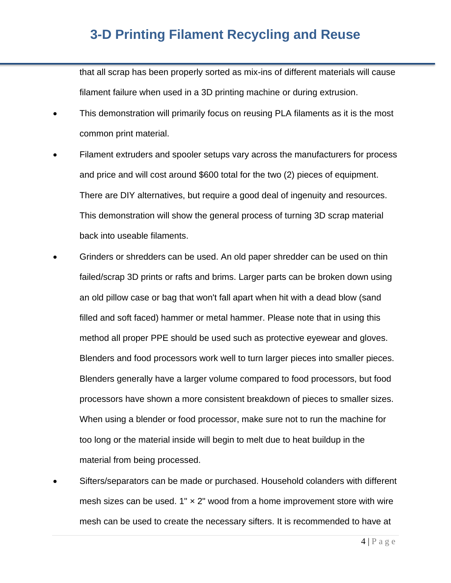that all scrap has been properly sorted as mix-ins of different materials will cause filament failure when used in a 3D printing machine or during extrusion.

- This demonstration will primarily focus on reusing PLA filaments as it is the most common print material.
- Filament extruders and spooler setups vary across the manufacturers for process and price and will cost around \$600 total for the two (2) pieces of equipment. There are DIY alternatives, but require a good deal of ingenuity and resources. This demonstration will show the general process of turning 3D scrap material back into useable filaments.
- Grinders or shredders can be used. An old paper shredder can be used on thin failed/scrap 3D prints or rafts and brims. Larger parts can be broken down using an old pillow case or bag that won't fall apart when hit with a dead blow (sand filled and soft faced) hammer or metal hammer. Please note that in using this method all proper PPE should be used such as protective eyewear and gloves. Blenders and food processors work well to turn larger pieces into smaller pieces. Blenders generally have a larger volume compared to food processors, but food processors have shown a more consistent breakdown of pieces to smaller sizes. When using a blender or food processor, make sure not to run the machine for too long or the material inside will begin to melt due to heat buildup in the material from being processed.
- Sifters/separators can be made or purchased. Household colanders with different mesh sizes can be used.  $1" \times 2"$  wood from a home improvement store with wire mesh can be used to create the necessary sifters. It is recommended to have at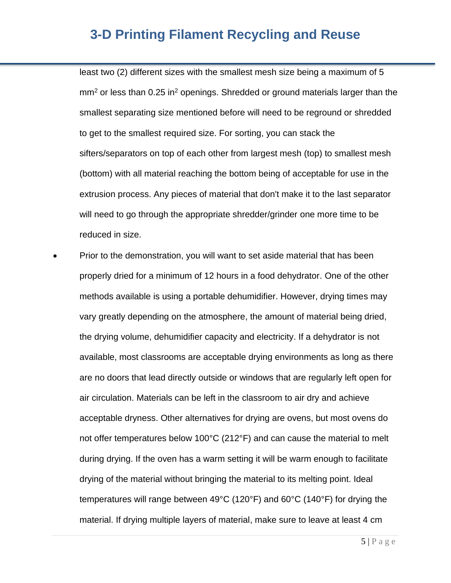least two (2) different sizes with the smallest mesh size being a maximum of 5  $\text{mm}^2$  or less than 0.25 in<sup>2</sup> openings. Shredded or ground materials larger than the smallest separating size mentioned before will need to be reground or shredded to get to the smallest required size. For sorting, you can stack the sifters/separators on top of each other from largest mesh (top) to smallest mesh (bottom) with all material reaching the bottom being of acceptable for use in the extrusion process. Any pieces of material that don't make it to the last separator will need to go through the appropriate shredder/grinder one more time to be reduced in size.

• Prior to the demonstration, you will want to set aside material that has been properly dried for a minimum of 12 hours in a food dehydrator. One of the other methods available is using a portable dehumidifier. However, drying times may vary greatly depending on the atmosphere, the amount of material being dried, the drying volume, dehumidifier capacity and electricity. If a dehydrator is not available, most classrooms are acceptable drying environments as long as there are no doors that lead directly outside or windows that are regularly left open for air circulation. Materials can be left in the classroom to air dry and achieve acceptable dryness. Other alternatives for drying are ovens, but most ovens do not offer temperatures below 100°C (212°F) and can cause the material to melt during drying. If the oven has a warm setting it will be warm enough to facilitate drying of the material without bringing the material to its melting point. Ideal temperatures will range between 49°C (120°F) and 60°C (140°F) for drying the material. If drying multiple layers of material, make sure to leave at least 4 cm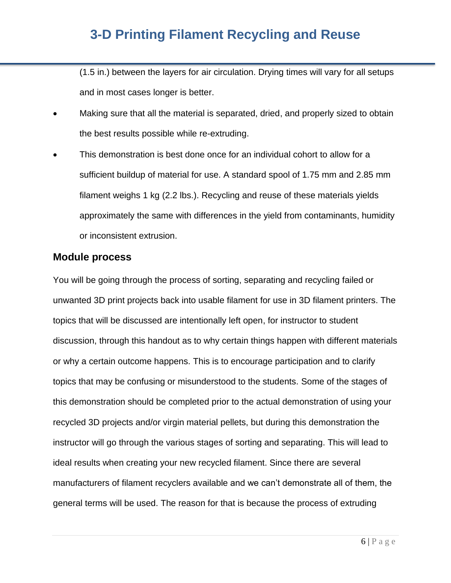(1.5 in.) between the layers for air circulation. Drying times will vary for all setups and in most cases longer is better.

- Making sure that all the material is separated, dried, and properly sized to obtain the best results possible while re-extruding.
- This demonstration is best done once for an individual cohort to allow for a sufficient buildup of material for use. A standard spool of 1.75 mm and 2.85 mm filament weighs 1 kg (2.2 lbs.). Recycling and reuse of these materials yields approximately the same with differences in the yield from contaminants, humidity or inconsistent extrusion.

### **Module process**

You will be going through the process of sorting, separating and recycling failed or unwanted 3D print projects back into usable filament for use in 3D filament printers. The topics that will be discussed are intentionally left open, for instructor to student discussion, through this handout as to why certain things happen with different materials or why a certain outcome happens. This is to encourage participation and to clarify topics that may be confusing or misunderstood to the students. Some of the stages of this demonstration should be completed prior to the actual demonstration of using your recycled 3D projects and/or virgin material pellets, but during this demonstration the instructor will go through the various stages of sorting and separating. This will lead to ideal results when creating your new recycled filament. Since there are several manufacturers of filament recyclers available and we can't demonstrate all of them, the general terms will be used. The reason for that is because the process of extruding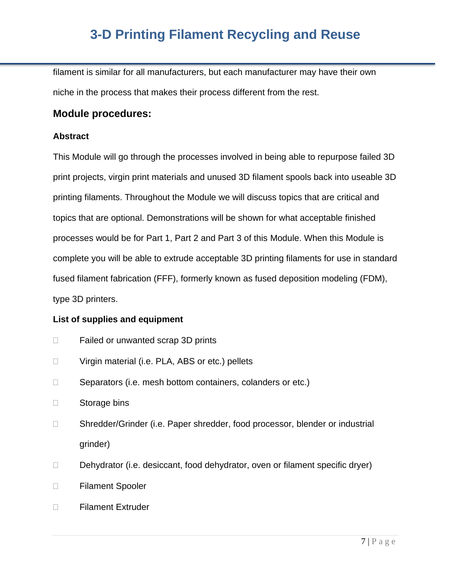filament is similar for all manufacturers, but each manufacturer may have their own niche in the process that makes their process different from the rest.

#### **Module procedures:**

#### **Abstract**

This Module will go through the processes involved in being able to repurpose failed 3D print projects, virgin print materials and unused 3D filament spools back into useable 3D printing filaments. Throughout the Module we will discuss topics that are critical and topics that are optional. Demonstrations will be shown for what acceptable finished processes would be for Part 1, Part 2 and Part 3 of this Module. When this Module is complete you will be able to extrude acceptable 3D printing filaments for use in standard fused filament fabrication (FFF), formerly known as fused deposition modeling (FDM), type 3D printers.

#### **List of supplies and equipment**

- $\Box$  Failed or unwanted scrap 3D prints
- □ Virgin material (i.e. PLA, ABS or etc.) pellets
- $\Box$  Separators (i.e. mesh bottom containers, colanders or etc.)
- □ Storage bins
- □ Shredder/Grinder (i.e. Paper shredder, food processor, blender or industrial grinder)
- $\Box$  Dehydrator (i.e. desiccant, food dehydrator, oven or filament specific dryer)
- Filament Spooler
- □ Filament Extruder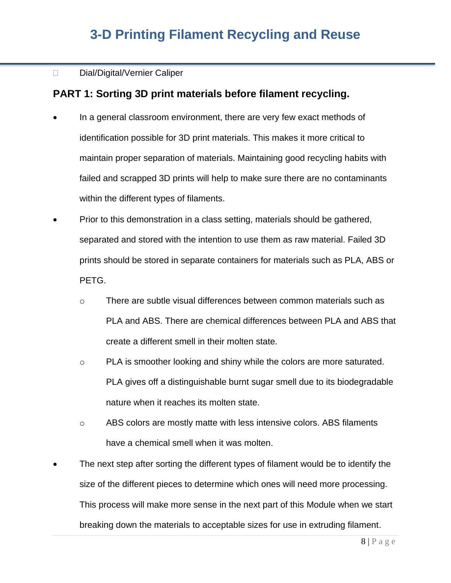#### Dial/Digital/Vernier Caliper

### **PART 1: Sorting 3D print materials before filament recycling.**

- In a general classroom environment, there are very few exact methods of identification possible for 3D print materials. This makes it more critical to maintain proper separation of materials. Maintaining good recycling habits with failed and scrapped 3D prints will help to make sure there are no contaminants within the different types of filaments.
- Prior to this demonstration in a class setting, materials should be gathered, separated and stored with the intention to use them as raw material. Failed 3D prints should be stored in separate containers for materials such as PLA, ABS or PETG.
	- o There are subtle visual differences between common materials such as PLA and ABS. There are chemical differences between PLA and ABS that create a different smell in their molten state.
	- $\circ$  PLA is smoother looking and shiny while the colors are more saturated. PLA gives off a distinguishable burnt sugar smell due to its biodegradable nature when it reaches its molten state.
	- $\circ$  ABS colors are mostly matte with less intensive colors. ABS filaments have a chemical smell when it was molten.
- The next step after sorting the different types of filament would be to identify the size of the different pieces to determine which ones will need more processing. This process will make more sense in the next part of this Module when we start breaking down the materials to acceptable sizes for use in extruding filament.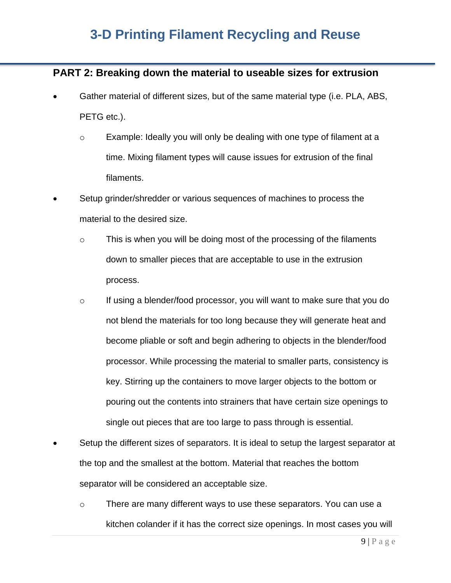### **PART 2: Breaking down the material to useable sizes for extrusion**

- Gather material of different sizes, but of the same material type (i.e. PLA, ABS, PETG etc.).
	- o Example: Ideally you will only be dealing with one type of filament at a time. Mixing filament types will cause issues for extrusion of the final filaments.
- Setup grinder/shredder or various sequences of machines to process the material to the desired size.
	- $\circ$  This is when you will be doing most of the processing of the filaments down to smaller pieces that are acceptable to use in the extrusion process.
	- $\circ$  If using a blender/food processor, you will want to make sure that you do not blend the materials for too long because they will generate heat and become pliable or soft and begin adhering to objects in the blender/food processor. While processing the material to smaller parts, consistency is key. Stirring up the containers to move larger objects to the bottom or pouring out the contents into strainers that have certain size openings to single out pieces that are too large to pass through is essential.
- Setup the different sizes of separators. It is ideal to setup the largest separator at the top and the smallest at the bottom. Material that reaches the bottom separator will be considered an acceptable size.
	- o There are many different ways to use these separators. You can use a kitchen colander if it has the correct size openings. In most cases you will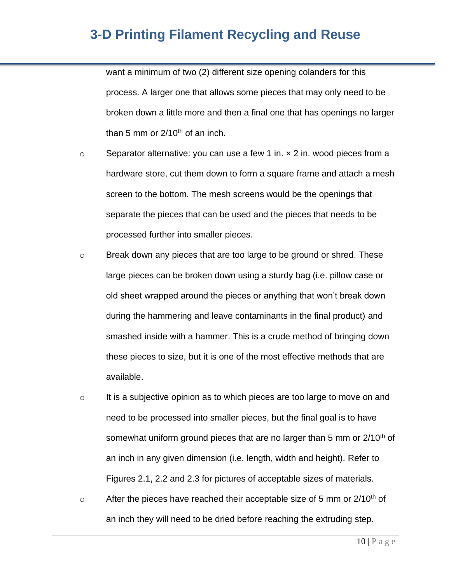want a minimum of two (2) different size opening colanders for this process. A larger one that allows some pieces that may only need to be broken down a little more and then a final one that has openings no larger than 5 mm or  $2/10^{th}$  of an inch.

- $\circ$  Separator alternative: you can use a few 1 in.  $\times$  2 in. wood pieces from a hardware store, cut them down to form a square frame and attach a mesh screen to the bottom. The mesh screens would be the openings that separate the pieces that can be used and the pieces that needs to be processed further into smaller pieces.
- o Break down any pieces that are too large to be ground or shred. These large pieces can be broken down using a sturdy bag (i.e. pillow case or old sheet wrapped around the pieces or anything that won't break down during the hammering and leave contaminants in the final product) and smashed inside with a hammer. This is a crude method of bringing down these pieces to size, but it is one of the most effective methods that are available.
- $\circ$  It is a subjective opinion as to which pieces are too large to move on and need to be processed into smaller pieces, but the final goal is to have somewhat uniform ground pieces that are no larger than 5 mm or  $2/10<sup>th</sup>$  of an inch in any given dimension (i.e. length, width and height). Refer to Figures 2.1, 2.2 and 2.3 for pictures of acceptable sizes of materials.
- $\degree$  After the pieces have reached their acceptable size of 5 mm or 2/10<sup>th</sup> of an inch they will need to be dried before reaching the extruding step.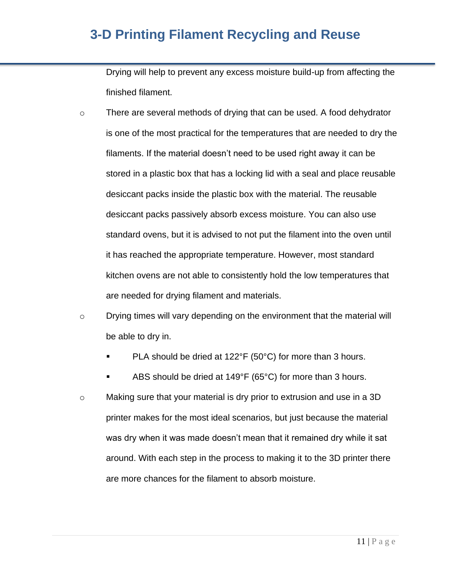Drying will help to prevent any excess moisture build-up from affecting the finished filament.

- o There are several methods of drying that can be used. A food dehydrator is one of the most practical for the temperatures that are needed to dry the filaments. If the material doesn't need to be used right away it can be stored in a plastic box that has a locking lid with a seal and place reusable desiccant packs inside the plastic box with the material. The reusable desiccant packs passively absorb excess moisture. You can also use standard ovens, but it is advised to not put the filament into the oven until it has reached the appropriate temperature. However, most standard kitchen ovens are not able to consistently hold the low temperatures that are needed for drying filament and materials.
- $\circ$  Drying times will vary depending on the environment that the material will be able to dry in.
	- PLA should be dried at  $122^{\circ}F$  (50 $^{\circ}C$ ) for more than 3 hours.
	- ABS should be dried at  $149^{\circ}F$  (65 $^{\circ}C$ ) for more than 3 hours.
- o Making sure that your material is dry prior to extrusion and use in a 3D printer makes for the most ideal scenarios, but just because the material was dry when it was made doesn't mean that it remained dry while it sat around. With each step in the process to making it to the 3D printer there are more chances for the filament to absorb moisture.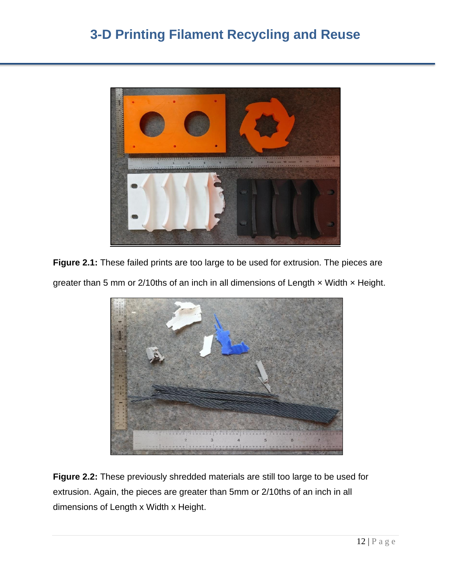

**Figure 2.1:** These failed prints are too large to be used for extrusion. The pieces are



greater than 5 mm or 2/10ths of an inch in all dimensions of Length  $\times$  Width  $\times$  Height.

**Figure 2.2:** These previously shredded materials are still too large to be used for extrusion. Again, the pieces are greater than 5mm or 2/10ths of an inch in all dimensions of Length x Width x Height.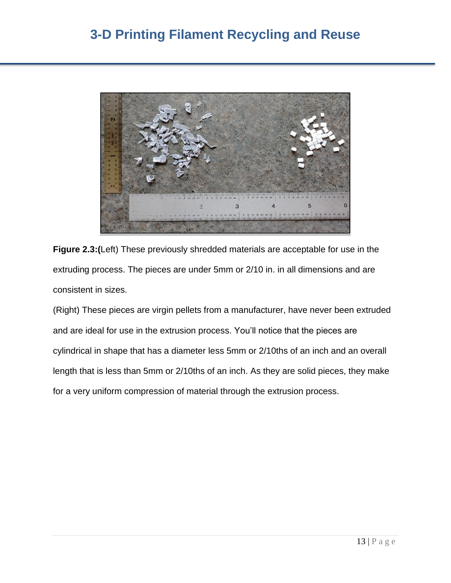

**Figure 2.3:(**Left) These previously shredded materials are acceptable for use in the extruding process. The pieces are under 5mm or 2/10 in. in all dimensions and are consistent in sizes.

(Right) These pieces are virgin pellets from a manufacturer, have never been extruded and are ideal for use in the extrusion process. You'll notice that the pieces are cylindrical in shape that has a diameter less 5mm or 2/10ths of an inch and an overall length that is less than 5mm or 2/10ths of an inch. As they are solid pieces, they make for a very uniform compression of material through the extrusion process.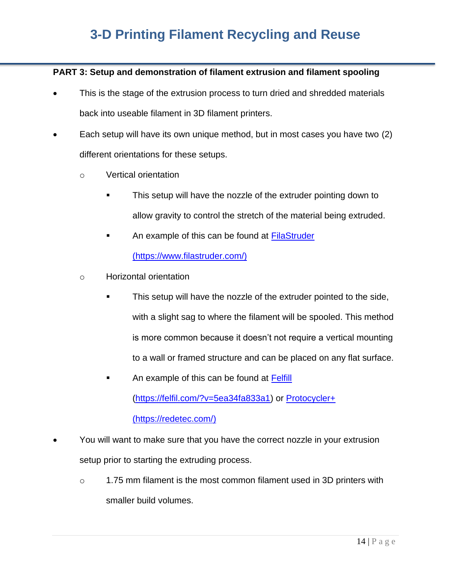#### **PART 3: Setup and demonstration of filament extrusion and filament spooling**

- This is the stage of the extrusion process to turn dried and shredded materials back into useable filament in 3D filament printers.
- Each setup will have its own unique method, but in most cases you have two (2) different orientations for these setups.
	- o Vertical orientation
		- This setup will have the nozzle of the extruder pointing down to allow gravity to control the stretch of the material being extruded.
		- An example of this can be found at [FilaStruder](about:blank) (https://www.filastruder.com/)
	- o Horizontal orientation
		- This setup will have the nozzle of the extruder pointed to the side, with a slight sag to where the filament will be spooled. This method is more common because it doesn't not require a vertical mounting to a wall or framed structure and can be placed on any flat surface.
		- An example of this can be found at [Felfill](about:blank) [\(https://felfil.com/?v=5ea34fa833a1\)](about:blank) or [Protocycler+](about:blank) [\(https://redetec.com/\)](about:blank)
- You will want to make sure that you have the correct nozzle in your extrusion setup prior to starting the extruding process.
	- o 1.75 mm filament is the most common filament used in 3D printers with smaller build volumes.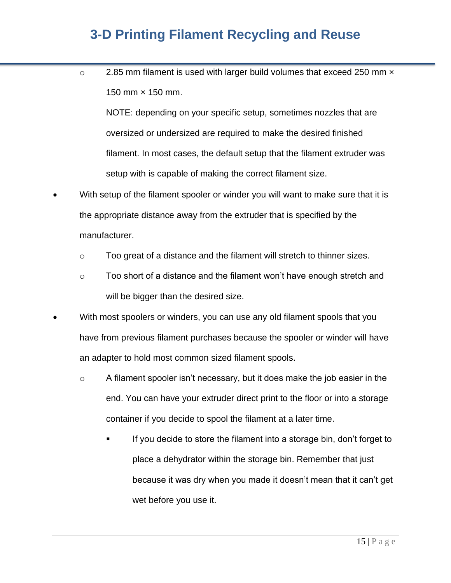$\circ$  2.85 mm filament is used with larger build volumes that exceed 250 mm  $\times$ 150 mm × 150 mm.

NOTE: depending on your specific setup, sometimes nozzles that are oversized or undersized are required to make the desired finished filament. In most cases, the default setup that the filament extruder was setup with is capable of making the correct filament size.

- With setup of the filament spooler or winder you will want to make sure that it is the appropriate distance away from the extruder that is specified by the manufacturer.
	- $\circ$  Too great of a distance and the filament will stretch to thinner sizes.
	- $\circ$  Too short of a distance and the filament won't have enough stretch and will be bigger than the desired size.
- With most spoolers or winders, you can use any old filament spools that you have from previous filament purchases because the spooler or winder will have an adapter to hold most common sized filament spools.
	- o A filament spooler isn't necessary, but it does make the job easier in the end. You can have your extruder direct print to the floor or into a storage container if you decide to spool the filament at a later time.
		- If you decide to store the filament into a storage bin, don't forget to place a dehydrator within the storage bin. Remember that just because it was dry when you made it doesn't mean that it can't get wet before you use it.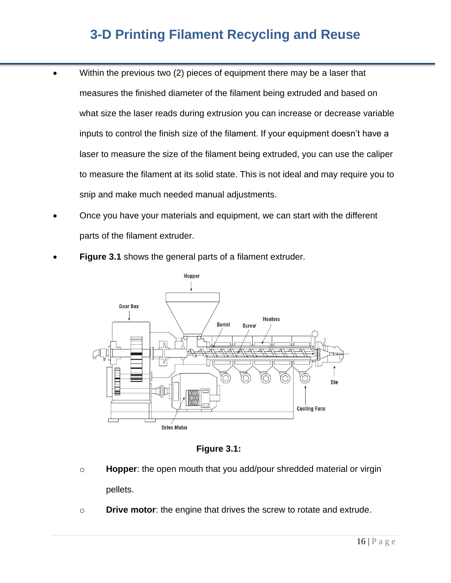- Within the previous two (2) pieces of equipment there may be a laser that measures the finished diameter of the filament being extruded and based on what size the laser reads during extrusion you can increase or decrease variable inputs to control the finish size of the filament. If your equipment doesn't have a laser to measure the size of the filament being extruded, you can use the caliper to measure the filament at its solid state. This is not ideal and may require you to snip and make much needed manual adjustments.
	- Once you have your materials and equipment, we can start with the different parts of the filament extruder.
	- **Figure 3.1** shows the general parts of a filament extruder.



**Figure 3.1:**

- o **Hopper**: the open mouth that you add/pour shredded material or virgin pellets.
- o **Drive motor**: the engine that drives the screw to rotate and extrude.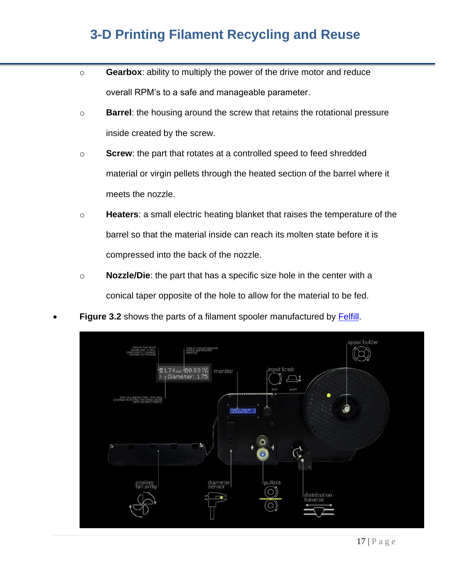- o **Gearbox**: ability to multiply the power of the drive motor and reduce overall RPM's to a safe and manageable parameter.
- o **Barrel**: the housing around the screw that retains the rotational pressure inside created by the screw.
- o **Screw**: the part that rotates at a controlled speed to feed shredded material or virgin pellets through the heated section of the barrel where it meets the nozzle.
- o **Heaters**: a small electric heating blanket that raises the temperature of the barrel so that the material inside can reach its molten state before it is compressed into the back of the nozzle.
- o **Nozzle/Die**: the part that has a specific size hole in the center with a conical taper opposite of the hole to allow for the material to be fed.
- **Figure 3.2** shows the parts of a filament spooler manufactured by [Felfill.](about:blank)

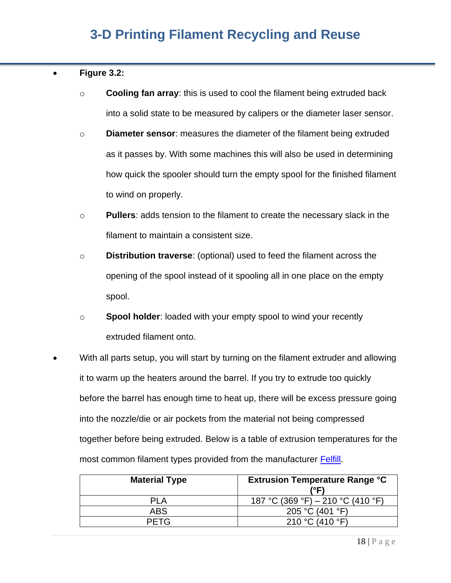#### • **Figure 3.2:**

- o **Cooling fan array**: this is used to cool the filament being extruded back into a solid state to be measured by calipers or the diameter laser sensor.
- o **Diameter sensor**: measures the diameter of the filament being extruded as it passes by. With some machines this will also be used in determining how quick the spooler should turn the empty spool for the finished filament to wind on properly.
- o **Pullers**: adds tension to the filament to create the necessary slack in the filament to maintain a consistent size.
- o **Distribution traverse**: (optional) used to feed the filament across the opening of the spool instead of it spooling all in one place on the empty spool.
- o **Spool holder**: loaded with your empty spool to wind your recently extruded filament onto.
- With all parts setup, you will start by turning on the filament extruder and allowing it to warm up the heaters around the barrel. If you try to extrude too quickly before the barrel has enough time to heat up, there will be excess pressure going into the nozzle/die or air pockets from the material not being compressed together before being extruded. Below is a table of extrusion temperatures for the most common filament types provided from the manufacturer [Felfill.](about:blank)

| <b>Material Type</b> | <b>Extrusion Temperature Range °C</b><br>(°F) |
|----------------------|-----------------------------------------------|
| PI A                 | 187 °C (369 °F) – 210 °C (410 °F)             |
| <b>ABS</b>           | 205 °C (401 °F)                               |
| <b>PFTG</b>          | 210 °C (410 °F)                               |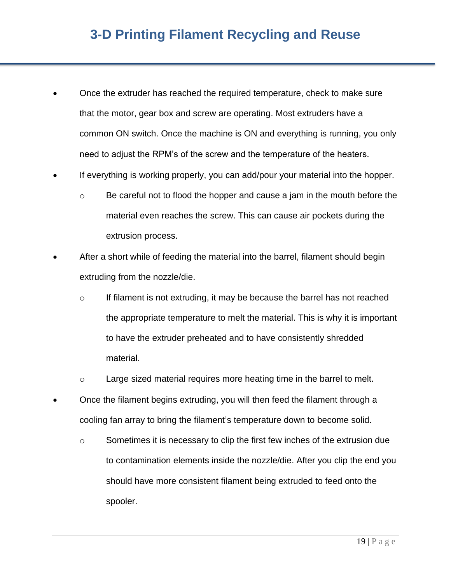- Once the extruder has reached the required temperature, check to make sure that the motor, gear box and screw are operating. Most extruders have a common ON switch. Once the machine is ON and everything is running, you only need to adjust the RPM's of the screw and the temperature of the heaters.
- If everything is working properly, you can add/pour your material into the hopper.
	- $\circ$  Be careful not to flood the hopper and cause a jam in the mouth before the material even reaches the screw. This can cause air pockets during the extrusion process.
- After a short while of feeding the material into the barrel, filament should begin extruding from the nozzle/die.
	- $\circ$  If filament is not extruding, it may be because the barrel has not reached the appropriate temperature to melt the material. This is why it is important to have the extruder preheated and to have consistently shredded material.
	- o Large sized material requires more heating time in the barrel to melt.
- Once the filament begins extruding, you will then feed the filament through a cooling fan array to bring the filament's temperature down to become solid.
	- o Sometimes it is necessary to clip the first few inches of the extrusion due to contamination elements inside the nozzle/die. After you clip the end you should have more consistent filament being extruded to feed onto the spooler.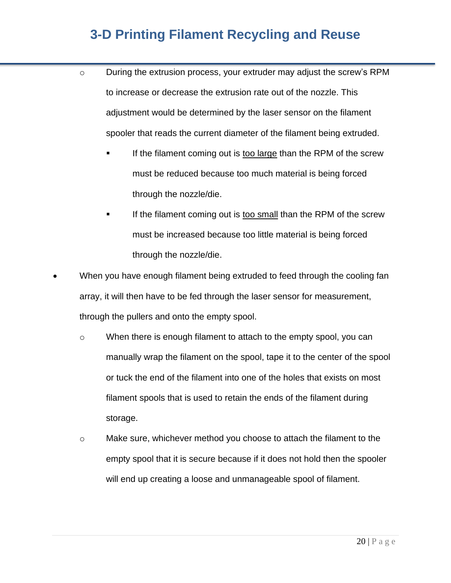- o During the extrusion process, your extruder may adjust the screw's RPM to increase or decrease the extrusion rate out of the nozzle. This adjustment would be determined by the laser sensor on the filament spooler that reads the current diameter of the filament being extruded.
	- If the filament coming out is too large than the RPM of the screw must be reduced because too much material is being forced through the nozzle/die.
	- If the filament coming out is too small than the RPM of the screw must be increased because too little material is being forced through the nozzle/die.
- When you have enough filament being extruded to feed through the cooling fan array, it will then have to be fed through the laser sensor for measurement, through the pullers and onto the empty spool.
	- o When there is enough filament to attach to the empty spool, you can manually wrap the filament on the spool, tape it to the center of the spool or tuck the end of the filament into one of the holes that exists on most filament spools that is used to retain the ends of the filament during storage.
	- $\circ$  Make sure, whichever method you choose to attach the filament to the empty spool that it is secure because if it does not hold then the spooler will end up creating a loose and unmanageable spool of filament.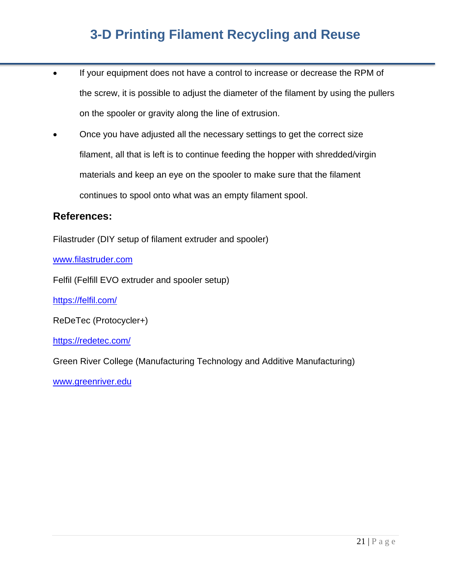- If your equipment does not have a control to increase or decrease the RPM of the screw, it is possible to adjust the diameter of the filament by using the pullers on the spooler or gravity along the line of extrusion.
- Once you have adjusted all the necessary settings to get the correct size filament, all that is left is to continue feeding the hopper with shredded/virgin materials and keep an eye on the spooler to make sure that the filament continues to spool onto what was an empty filament spool.

### **References:**

Filastruder (DIY setup of filament extruder and spooler)

[www.filastruder.com](about:blank)

Felfil (Felfill EVO extruder and spooler setup)

[https://felfil.com/](about:blank)

ReDeTec (Protocycler+)

[https://redetec.com/](about:blank)

Green River College (Manufacturing Technology and Additive Manufacturing)

[www.greenriver.edu](about:blank)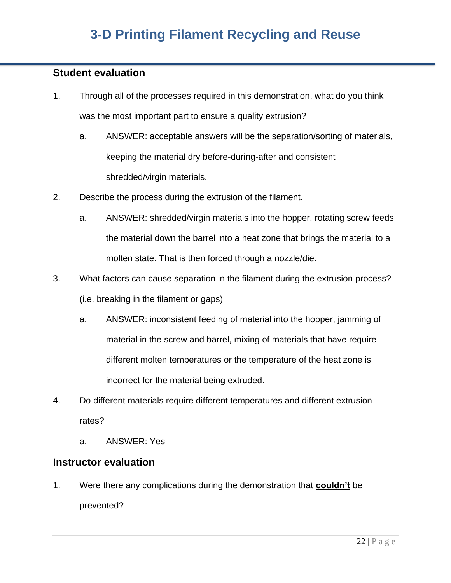### **Student evaluation**

- 1. Through all of the processes required in this demonstration, what do you think was the most important part to ensure a quality extrusion?
	- a. ANSWER: acceptable answers will be the separation/sorting of materials, keeping the material dry before-during-after and consistent shredded/virgin materials.
- 2. Describe the process during the extrusion of the filament.
	- a. ANSWER: shredded/virgin materials into the hopper, rotating screw feeds the material down the barrel into a heat zone that brings the material to a molten state. That is then forced through a nozzle/die.
- 3. What factors can cause separation in the filament during the extrusion process? (i.e. breaking in the filament or gaps)
	- a. ANSWER: inconsistent feeding of material into the hopper, jamming of material in the screw and barrel, mixing of materials that have require different molten temperatures or the temperature of the heat zone is incorrect for the material being extruded.
- 4. Do different materials require different temperatures and different extrusion rates?
	- a. ANSWER: Yes

### **Instructor evaluation**

1. Were there any complications during the demonstration that **couldn't** be prevented?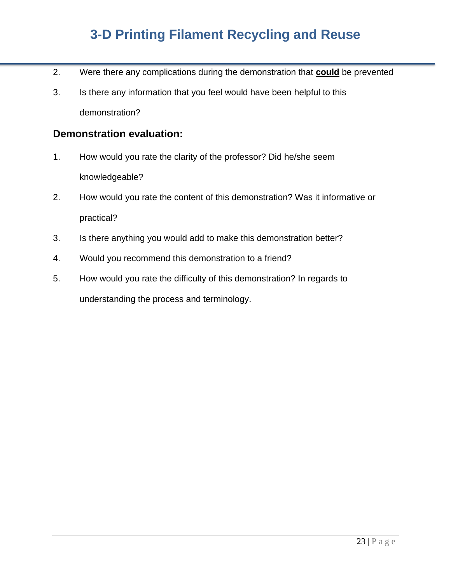- 2. Were there any complications during the demonstration that **could** be prevented
- 3. Is there any information that you feel would have been helpful to this demonstration?

### **Demonstration evaluation:**

- 1. How would you rate the clarity of the professor? Did he/she seem knowledgeable?
- 2. How would you rate the content of this demonstration? Was it informative or practical?
- 3. Is there anything you would add to make this demonstration better?
- 4. Would you recommend this demonstration to a friend?
- 5. How would you rate the difficulty of this demonstration? In regards to understanding the process and terminology.